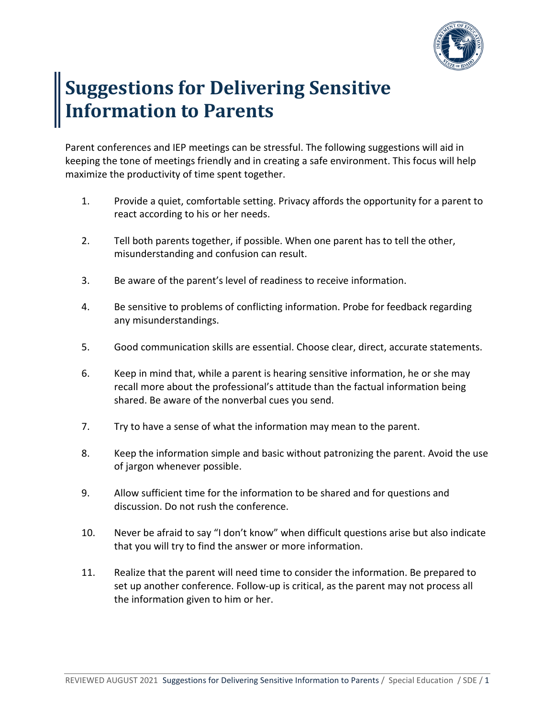

## **Suggestions for Delivering Sensitive Information to Parents**

Parent conferences and IEP meetings can be stressful. The following suggestions will aid in keeping the tone of meetings friendly and in creating a safe environment. This focus will help maximize the productivity of time spent together.

- 1. Provide a quiet, comfortable setting. Privacy affords the opportunity for a parent to react according to his or her needs.
- 2. Tell both parents together, if possible. When one parent has to tell the other, misunderstanding and confusion can result.
- 3. Be aware of the parent's level of readiness to receive information.
- 4. Be sensitive to problems of conflicting information. Probe for feedback regarding any misunderstandings.
- 5. Good communication skills are essential. Choose clear, direct, accurate statements.
- 6. Keep in mind that, while a parent is hearing sensitive information, he or she may recall more about the professional's attitude than the factual information being shared. Be aware of the nonverbal cues you send.
- 7. Try to have a sense of what the information may mean to the parent.
- 8. Keep the information simple and basic without patronizing the parent. Avoid the use of jargon whenever possible.
- 9. Allow sufficient time for the information to be shared and for questions and discussion. Do not rush the conference.
- 10. Never be afraid to say "I don't know" when difficult questions arise but also indicate that you will try to find the answer or more information.
- 11. Realize that the parent will need time to consider the information. Be prepared to set up another conference. Follow-up is critical, as the parent may not process all the information given to him or her.